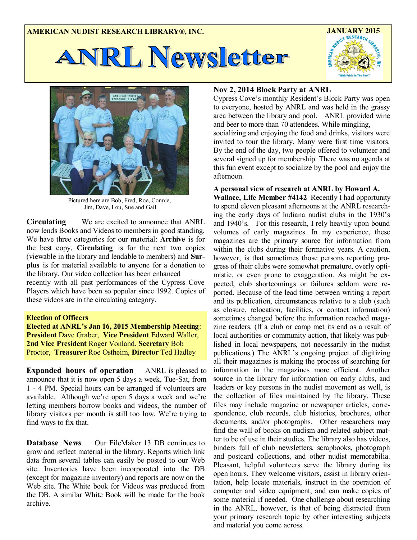



Pictured here are Bob, Fred, Roe, Connie, Jim, Dave, Lou, Sue and Gail

**Circulating** We are excited to announce that ANRL now lends Books and Videos to members in good standing. We have three categories for our material: **Archive** is for the best copy, **Circulating** is for the next two copies (viewable in the library and lendable to members) and **Surplus** is for material available to anyone for a donation to the library. Our video collection has been enhanced recently with all past performances of the Cypress Cove Players which have been so popular since 1992. Copies of these videos are in the circulating category.

### **Election of Officers**

**Elected at ANRL's Jan 16, 2015 Membership Meeting**: **President** Dave Graber, **Vice President** Edward Waller, **2nd Vice President** Roger Vonland, **Secretary** Bob Proctor, **Treasurer** Roe Ostheim, **Director** Ted Hadley

**Expanded hours of operation** ANRL is pleased to announce that it is now open 5 days a week, Tue-Sat, from 1 - 4 PM. Special hours can be arranged if volunteers are available. Although we're open 5 days a week and we're letting members borrow books and videos, the number of library visitors per month is still too low. We're trying to find ways to fix that.

**Database News** Our FileMaker 13 DB continues to grow and reflect material in the library. Reports which link data from several tables can easily be posted to our Web site. Inventories have been incorporated into the DB (except for magazine inventory) and reports are now on the Web site. The White book for Videos was produced from the DB. A similar White Book will be made for the book archive.

# **Nov 2, 2014 Block Party at ANRL**

Cypress Cove's monthly Resident's Block Party was open to everyone, hosted by ANRL and was held in the grassy area between the library and pool. ANRL provided wine and beer to more than 70 attendees. While mingling,

socializing and enjoying the food and drinks, visitors were invited to tour the library. Many were first time visitors. By the end of the day, two people offered to volunteer and several signed up for membership. There was no agenda at this fun event except to socialize by the pool and enjoy the afternoon.

## **A personal view of research at ANRL by Howard A.**

**Wallace, Life Member #4142** Recently I had opportunity to spend eleven pleasant afternoons at the ANRL researching the early days of Indiana nudist clubs in the 1930's and 1940's. For this research, I rely heavily upon bound volumes of early magazines. In my experience, these magazines are the primary source for information from within the clubs during their formative years. A caution, however, is that sometimes those persons reporting progress of their clubs were somewhat premature, overly optimistic, or even prone to exaggeration. As might be expected, club shortcomings or failures seldom were reported. Because of the lead time between writing a report and its publication, circumstances relative to a club (such as closure, relocation, facilities, or contact information) sometimes changed before the information reached magazine readers. (If a club or camp met its end as a result of local authorities or community action, that likely was published in local newspapers, not necessarily in the nudist publications.) The ANRL's ongoing project of digitizing all their magazines is making the process of searching for information in the magazines more efficient. Another source in the library for information on early clubs, and leaders or key persons in the nudist movement as well, is the collection of files maintained by the library. These files may include magazine or newspaper articles, correspondence, club records, club histories, brochures, other documents, and/or photographs. Other researchers may find the wall of books on nudism and related subject matter to be of use in their studies. The library also has videos, binders full of club newsletters, scrapbooks, photograph and postcard collections, and other nudist memorabilia. Pleasant, helpful volunteers serve the library during its open hours. They welcome visitors, assist in library orientation, help locate materials, instruct in the operation of computer and video equipment, and can make copies of some material if needed. One challenge about researching in the ANRL, however, is that of being distracted from your primary research topic by other interesting subjects and material you come across.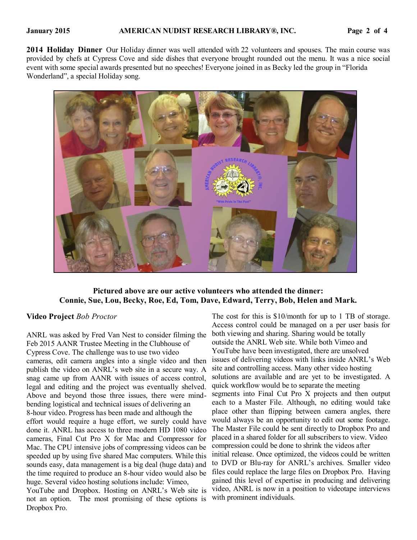**2014 Holiday Dinner** Our Holiday dinner was well attended with 22 volunteers and spouses. The main course was provided by chefs at Cypress Cove and side dishes that everyone brought rounded out the menu. It was a nice social event with some special awards presented but no speeches! Everyone joined in as Becky led the group in "Florida Wonderland", a special Holiday song.



# **Pictured above are our active volunteers who attended the dinner: Connie, Sue, Lou, Becky, Roe, Ed, Tom, Dave, Edward, Terry, Bob, Helen and Mark.**

### **Video Project** *Bob Proctor*

Dropbox Pro.

ANRL was asked by Fred Van Nest to consider filming the Feb 2015 AANR Trustee Meeting in the Clubhouse of Cypress Cove. The challenge was to use two video cameras, edit camera angles into a single video and then publish the video on ANRL's web site in a secure way. A snag came up from AANR with issues of access control, legal and editing and the project was eventually shelved. Above and beyond those three issues, there were mindbending logistical and technical issues of delivering an 8-hour video. Progress has been made and although the effort would require a huge effort, we surely could have done it. ANRL has access to three modern HD 1080 video cameras, Final Cut Pro X for Mac and Compressor for Mac. The CPU intensive jobs of compressing videos can be speeded up by using five shared Mac computers. While this sounds easy, data management is a big deal (huge data) and the time required to produce an 8-hour video would also be huge. Several video hosting solutions include: Vimeo, YouTube and Dropbox. Hosting on ANRL's Web site is not an option. The most promising of these options is

The cost for this is \$10/month for up to 1 TB of storage. Access control could be managed on a per user basis for both viewing and sharing. Sharing would be totally outside the ANRL Web site. While both Vimeo and YouTube have been investigated, there are unsolved issues of delivering videos with links inside ANRL's Web site and controlling access. Many other video hosting solutions are available and are yet to be investigated. A quick workflow would be to separate the meeting segments into Final Cut Pro X projects and then output each to a Master File. Although, no editing would take place other than flipping between camera angles, there would always be an opportunity to edit out some footage. The Master File could be sent directly to Dropbox Pro and placed in a shared folder for all subscribers to view. Video compression could be done to shrink the videos after initial release. Once optimized, the videos could be written to DVD or Blu-ray for ANRL's archives. Smaller video files could replace the large files on Dropbox Pro. Having gained this level of expertise in producing and delivering video, ANRL is now in a position to videotape interviews with prominent individuals.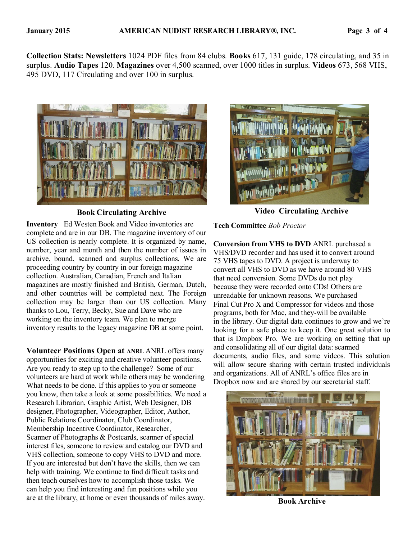**Collection Stats: Newsletters** 1024 PDF files from 84 clubs. **Books** 617, 131 guide, 178 circulating, and 35 in surplus. **Audio Tapes** 120. **Magazines** over 4,500 scanned, over 1000 titles in surplus. **Videos** 673, 568 VHS, 495 DVD, 117 Circulating and over 100 in surplus.



**Inventory** Ed Westen Book and Video inventories are complete and are in our DB. The magazine inventory of our US collection is nearly complete. It is organized by name, number, year and month and then the number of issues in archive, bound, scanned and surplus collections. We are proceeding country by country in our foreign magazine collection. Australian, Canadian, French and Italian magazines are mostly finished and British, German, Dutch, and other countries will be completed next. The Foreign collection may be larger than our US collection. Many thanks to Lou, Terry, Becky, Sue and Dave who are working on the inventory team. We plan to merge inventory results to the legacy magazine DB at some point.

**Volunteer Positions Open at ANRL** ANRL offers many opportunities for exciting and creative volunteer positions. Are you ready to step up to the challenge? Some of our volunteers are hard at work while others may be wondering What needs to be done. If this applies to you or someone you know, then take a look at some possibilities. We need a Research Librarian, Graphic Artist, Web Designer, DB designer, Photographer, Videographer, Editor, Author, Public Relations Coordinator, Club Coordinator, Membership Incentive Coordinator, Researcher, Scanner of Photographs & Postcards, scanner of special interest files, someone to review and catalog our DVD and VHS collection, someone to copy VHS to DVD and more. If you are interested but don't have the skills, then we can help with training. We continue to find difficult tasks and then teach ourselves how to accomplish those tasks. We can help you find interesting and fun positions while you are at the library, at home or even thousands of miles away. **Book Archive**



**Book Circulating Archive Video Circulating Archive**

**Tech Committee** *Bob Proctor* 

**Conversion from VHS to DVD** ANRL purchased a VHS/DVD recorder and has used it to convert around 75 VHS tapes to DVD. A project is underway to convert all VHS to DVD as we have around 80 VHS that need conversion. Some DVDs do not play because they were recorded onto CDs! Others are unreadable for unknown reasons. We purchased Final Cut Pro X and Compressor for videos and those programs, both for Mac, and they-will be available in the library. Our digital data continues to grow and we're looking for a safe place to keep it. One great solution to that is Dropbox Pro. We are working on setting that up and consolidating all of our digital data: scanned documents, audio files, and some videos. This solution will allow secure sharing with certain trusted individuals and organizations. All of ANRL's office files are in Dropbox now and are shared by our secretarial staff.